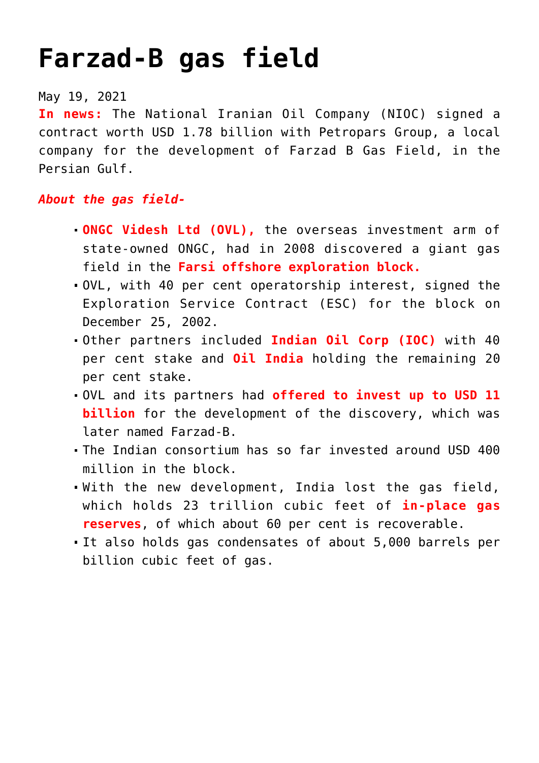## **[Farzad-B gas field](https://journalsofindia.com/farzad-b-gas-field/)**

## May 19, 2021

**In news:** The National Iranian Oil Company (NIOC) signed a contract worth USD 1.78 billion with Petropars Group, a local company for the development of Farzad B Gas Field, in the Persian Gulf.

## *About the gas field-*

- **ONGC Videsh Ltd (OVL),** the overseas investment arm of state-owned ONGC, had in 2008 discovered a giant gas field in the **Farsi offshore exploration block.**
- OVL, with 40 per cent operatorship interest, signed the Exploration Service Contract (ESC) for the block on December 25, 2002.
- Other partners included **Indian Oil Corp (IOC)** with 40 per cent stake and **Oil India** holding the remaining 20 per cent stake.
- OVL and its partners had **offered to invest up to USD 11 billion** for the development of the discovery, which was later named Farzad-B.
- The Indian consortium has so far invested around USD 400 million in the block.
- With the new development, India lost the gas field, which holds 23 trillion cubic feet of **in-place gas reserves**, of which about 60 per cent is recoverable.
- It also holds gas condensates of about 5,000 barrels per billion cubic feet of gas.